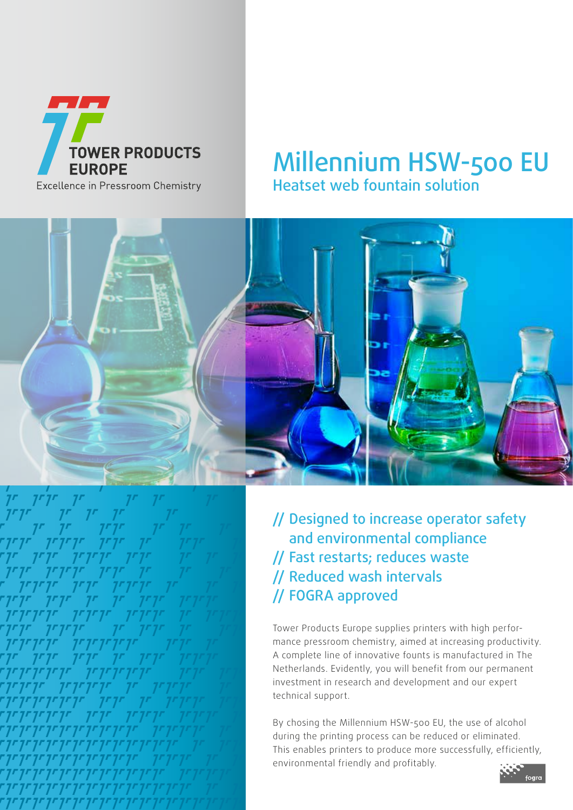

# Millennium HSW-500 EU Heatset web fountain solution



// Designed to increase operator safety and environmental compliance // Fast restarts; reduces waste // Reduced wash intervals // FOGRA approved

Tower Products Europe supplies printers with high performance pressroom chemistry, aimed at increasing productivity. A complete line of innovative founts is manufactured in The Netherlands. Evidently, you will benefit from our permanent investment in research and development and our expert technical support.

By chosing the Millennium HSW-500 EU, the use of alcohol during the printing process can be reduced or eliminated. This enables printers to produce more successfully, efficiently, environmental friendly and profitably.